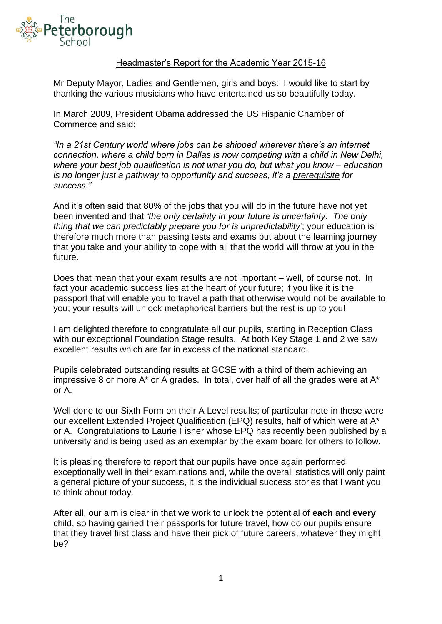

## Headmaster's Report for the Academic Year 2015-16

Mr Deputy Mayor, Ladies and Gentlemen, girls and boys: I would like to start by thanking the various musicians who have entertained us so beautifully today.

In March 2009, President Obama addressed the US Hispanic Chamber of Commerce and said:

*"In a 21st Century world where jobs can be shipped wherever there's an internet connection, where a child born in Dallas is now competing with a child in New Delhi, where your best job qualification is not what you do, but what you know – education is no longer just a pathway to opportunity and success, it's a prerequisite for success."*

And it's often said that 80% of the jobs that you will do in the future have not yet been invented and that *'the only certainty in your future is uncertainty. The only thing that we can predictably prepare you for is unpredictability'*; your education is therefore much more than passing tests and exams but about the learning journey that you take and your ability to cope with all that the world will throw at you in the future.

Does that mean that your exam results are not important – well, of course not. In fact your academic success lies at the heart of your future; if you like it is the passport that will enable you to travel a path that otherwise would not be available to you; your results will unlock metaphorical barriers but the rest is up to you!

I am delighted therefore to congratulate all our pupils, starting in Reception Class with our exceptional Foundation Stage results. At both Key Stage 1 and 2 we saw excellent results which are far in excess of the national standard.

Pupils celebrated outstanding results at GCSE with a third of them achieving an impressive 8 or more  $A^*$  or A grades. In total, over half of all the grades were at  $A^*$ or A.

Well done to our Sixth Form on their A Level results; of particular note in these were our excellent Extended Project Qualification (EPQ) results, half of which were at A\* or A. Congratulations to Laurie Fisher whose EPQ has recently been published by a university and is being used as an exemplar by the exam board for others to follow.

It is pleasing therefore to report that our pupils have once again performed exceptionally well in their examinations and, while the overall statistics will only paint a general picture of your success, it is the individual success stories that I want you to think about today.

After all, our aim is clear in that we work to unlock the potential of **each** and **every** child, so having gained their passports for future travel, how do our pupils ensure that they travel first class and have their pick of future careers, whatever they might be?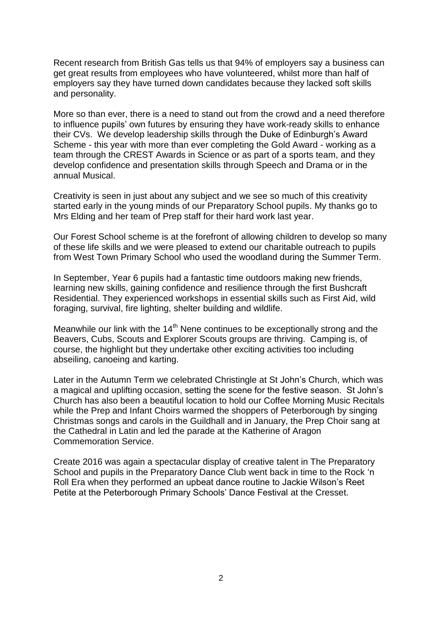Recent research from British Gas tells us that 94% of employers say a business can get great results from employees who have volunteered, whilst more than half of employers say they have turned down candidates because they lacked soft skills and personality.

More so than ever, there is a need to stand out from the crowd and a need therefore to influence pupils' own futures by ensuring they have work-ready skills to enhance their CVs. We develop leadership skills through the Duke of Edinburgh's Award Scheme - this year with more than ever completing the Gold Award - working as a team through the CREST Awards in Science or as part of a sports team, and they develop confidence and presentation skills through Speech and Drama or in the annual Musical.

Creativity is seen in just about any subject and we see so much of this creativity started early in the young minds of our Preparatory School pupils. My thanks go to Mrs Elding and her team of Prep staff for their hard work last year.

Our Forest School scheme is at the forefront of allowing children to develop so many of these life skills and we were pleased to extend our charitable outreach to pupils from West Town Primary School who used the woodland during the Summer Term.

In September, Year 6 pupils had a fantastic time outdoors making new friends, learning new skills, gaining confidence and resilience through the first Bushcraft Residential. They experienced workshops in essential skills such as First Aid, wild foraging, survival, fire lighting, shelter building and wildlife.

Meanwhile our link with the  $14<sup>th</sup>$  Nene continues to be exceptionally strong and the Beavers, Cubs, Scouts and Explorer Scouts groups are thriving. Camping is, of course, the highlight but they undertake other exciting activities too including abseiling, canoeing and karting.

Later in the Autumn Term we celebrated Christingle at St John's Church, which was a magical and uplifting occasion, setting the scene for the festive season. St John's Church has also been a beautiful location to hold our Coffee Morning Music Recitals while the Prep and Infant Choirs warmed the shoppers of Peterborough by singing Christmas songs and carols in the Guildhall and in January, the Prep Choir sang at the Cathedral in Latin and led the parade at the Katherine of Aragon Commemoration Service.

Create 2016 was again a spectacular display of creative talent in The Preparatory School and pupils in the Preparatory Dance Club went back in time to the Rock 'n Roll Era when they performed an upbeat dance routine to Jackie Wilson's Reet Petite at the Peterborough Primary Schools' Dance Festival at the Cresset.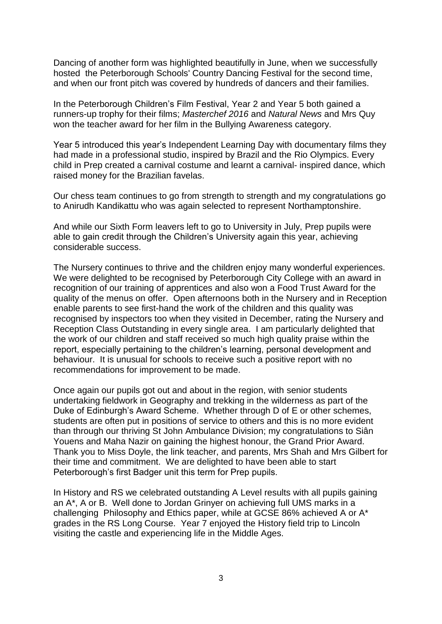Dancing of another form was highlighted beautifully in June, when we successfully hosted the Peterborough Schools' Country Dancing Festival for the second time, and when our front pitch was covered by hundreds of dancers and their families.

In the Peterborough Children's Film Festival, Year 2 and Year 5 both gained a runners-up trophy for their films; *Masterchef 2016* and *Natural News* and Mrs Quy won the teacher award for her film in the Bullying Awareness category.

Year 5 introduced this year's Independent Learning Day with documentary films they had made in a professional studio, inspired by Brazil and the Rio Olympics. Every child in Prep created a carnival costume and learnt a carnival- inspired dance, which raised money for the Brazilian favelas.

Our chess team continues to go from strength to strength and my congratulations go to Anirudh Kandikattu who was again selected to represent Northamptonshire.

And while our Sixth Form leavers left to go to University in July, Prep pupils were able to gain credit through the Children's University again this year, achieving considerable success.

The Nursery continues to thrive and the children enjoy many wonderful experiences. We were delighted to be recognised by Peterborough City College with an award in recognition of our training of apprentices and also won a Food Trust Award for the quality of the menus on offer. Open afternoons both in the Nursery and in Reception enable parents to see first-hand the work of the children and this quality was recognised by inspectors too when they visited in December, rating the Nursery and Reception Class Outstanding in every single area. I am particularly delighted that the work of our children and staff received so much high quality praise within the report, especially pertaining to the children's learning, personal development and behaviour. It is unusual for schools to receive such a positive report with no recommendations for improvement to be made.

Once again our pupils got out and about in the region, with senior students undertaking fieldwork in Geography and trekking in the wilderness as part of the Duke of Edinburgh's Award Scheme. Whether through D of E or other schemes, students are often put in positions of service to others and this is no more evident than through our thriving St John Ambulance Division; my congratulations to Siân Youens and Maha Nazir on gaining the highest honour, the Grand Prior Award. Thank you to Miss Doyle, the link teacher, and parents, Mrs Shah and Mrs Gilbert for their time and commitment. We are delighted to have been able to start Peterborough's first Badger unit this term for Prep pupils.

In History and RS we celebrated outstanding A Level results with all pupils gaining an A\*, A or B. Well done to Jordan Grinyer on achieving full UMS marks in a challenging Philosophy and Ethics paper, while at GCSE 86% achieved A or A\* grades in the RS Long Course. Year 7 enjoyed the History field trip to Lincoln visiting the castle and experiencing life in the Middle Ages.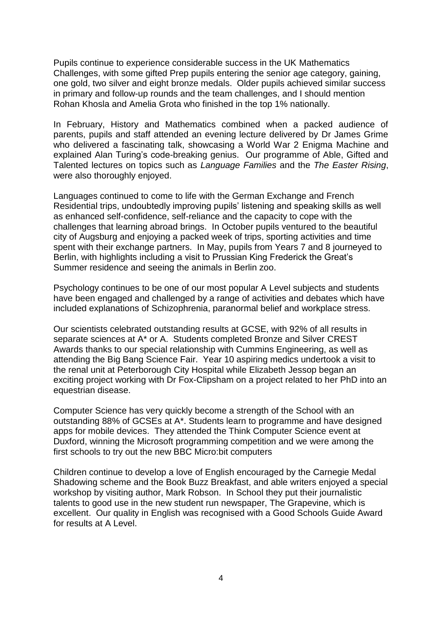Pupils continue to experience considerable success in the UK Mathematics Challenges, with some gifted Prep pupils entering the senior age category, gaining, one gold, two silver and eight bronze medals. Older pupils achieved similar success in primary and follow-up rounds and the team challenges, and I should mention Rohan Khosla and Amelia Grota who finished in the top 1% nationally.

In February, History and Mathematics combined when a packed audience of parents, pupils and staff attended an evening lecture delivered by Dr James Grime who delivered a fascinating talk, showcasing a World War 2 Enigma Machine and explained Alan Turing's code-breaking genius. Our programme of Able, Gifted and Talented lectures on topics such as *Language Families* and the *The Easter Rising*, were also thoroughly enjoyed.

Languages continued to come to life with the German Exchange and French Residential trips, undoubtedly improving pupils' listening and speaking skills as well as enhanced self-confidence, self-reliance and the capacity to cope with the challenges that learning abroad brings. In October pupils ventured to the beautiful city of Augsburg and enjoying a packed week of trips, sporting activities and time spent with their exchange partners. In May, pupils from Years 7 and 8 journeyed to Berlin, with highlights including a visit to Prussian King Frederick the Great's Summer residence and seeing the animals in Berlin zoo.

Psychology continues to be one of our most popular A Level subjects and students have been engaged and challenged by a range of activities and debates which have included explanations of Schizophrenia, paranormal belief and workplace stress.

Our scientists celebrated outstanding results at GCSE, with 92% of all results in separate sciences at A\* or A. Students completed Bronze and Silver CREST Awards thanks to our special relationship with Cummins Engineering, as well as attending the Big Bang Science Fair. Year 10 aspiring medics undertook a visit to the renal unit at Peterborough City Hospital while Elizabeth Jessop began an exciting project working with Dr Fox-Clipsham on a project related to her PhD into an equestrian disease.

Computer Science has very quickly become a strength of the School with an outstanding 88% of GCSEs at A\*. Students learn to programme and have designed apps for mobile devices. They attended the Think Computer Science event at Duxford, winning the Microsoft programming competition and we were among the first schools to try out the new BBC Micro:bit computers

Children continue to develop a love of English encouraged by the Carnegie Medal Shadowing scheme and the Book Buzz Breakfast, and able writers enjoyed a special workshop by visiting author, Mark Robson. In School they put their journalistic talents to good use in the new student run newspaper, The Grapevine, which is excellent. Our quality in English was recognised with a Good Schools Guide Award for results at A Level.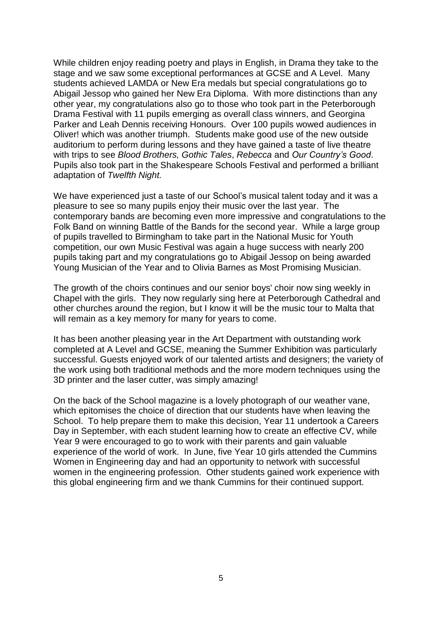While children enjoy reading poetry and plays in English, in Drama they take to the stage and we saw some exceptional performances at GCSE and A Level. Many students achieved LAMDA or New Era medals but special congratulations go to Abigail Jessop who gained her New Era Diploma. With more distinctions than any other year, my congratulations also go to those who took part in the Peterborough Drama Festival with 11 pupils emerging as overall class winners, and Georgina Parker and Leah Dennis receiving Honours. Over 100 pupils wowed audiences in Oliver! which was another triumph. Students make good use of the new outside auditorium to perform during lessons and they have gained a taste of live theatre with trips to see *Blood Brothers, Gothic Tales*, *Rebecca* and *Our Country's Good*. Pupils also took part in the Shakespeare Schools Festival and performed a brilliant adaptation of *Twelfth Night.*

We have experienced just a taste of our School's musical talent today and it was a pleasure to see so many pupils enjoy their music over the last year. The contemporary bands are becoming even more impressive and congratulations to the Folk Band on winning Battle of the Bands for the second year. While a large group of pupils travelled to Birmingham to take part in the National Music for Youth competition, our own Music Festival was again a huge success with nearly 200 pupils taking part and my congratulations go to Abigail Jessop on being awarded Young Musician of the Year and to Olivia Barnes as Most Promising Musician.

The growth of the choirs continues and our senior boys' choir now sing weekly in Chapel with the girls. They now regularly sing here at Peterborough Cathedral and other churches around the region, but I know it will be the music tour to Malta that will remain as a key memory for many for years to come.

It has been another pleasing year in the Art Department with outstanding work completed at A Level and GCSE, meaning the Summer Exhibition was particularly successful. Guests enjoyed work of our talented artists and designers; the variety of the work using both traditional methods and the more modern techniques using the 3D printer and the laser cutter, was simply amazing!

On the back of the School magazine is a lovely photograph of our weather vane, which epitomises the choice of direction that our students have when leaving the School. To help prepare them to make this decision, Year 11 undertook a Careers Day in September, with each student learning how to create an effective CV, while Year 9 were encouraged to go to work with their parents and gain valuable experience of the world of work. In June, five Year 10 girls attended the Cummins Women in Engineering day and had an opportunity to network with successful women in the engineering profession. Other students gained work experience with this global engineering firm and we thank Cummins for their continued support.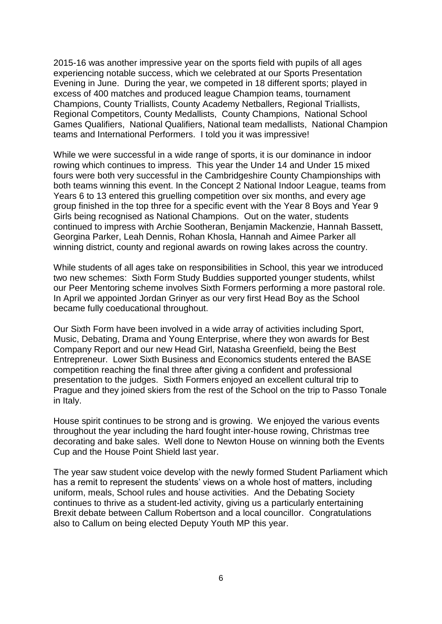2015-16 was another impressive year on the sports field with pupils of all ages experiencing notable success, which we celebrated at our Sports Presentation Evening in June. During the year, we competed in 18 different sports; played in excess of 400 matches and produced league Champion teams, tournament Champions, County Triallists, County Academy Netballers, Regional Triallists, Regional Competitors, County Medallists, County Champions, National School Games Qualifiers, National Qualifiers, National team medallists, National Champion teams and International Performers. I told you it was impressive!

While we were successful in a wide range of sports, it is our dominance in indoor rowing which continues to impress. This year the Under 14 and Under 15 mixed fours were both very successful in the Cambridgeshire County Championships with both teams winning this event. In the Concept 2 National Indoor League, teams from Years 6 to 13 entered this gruelling competition over six months, and every age group finished in the top three for a specific event with the Year 8 Boys and Year 9 Girls being recognised as National Champions. Out on the water, students continued to impress with Archie Sootheran, Benjamin Mackenzie, Hannah Bassett, Georgina Parker, Leah Dennis, Rohan Khosla, Hannah and Aimee Parker all winning district, county and regional awards on rowing lakes across the country.

While students of all ages take on responsibilities in School, this year we introduced two new schemes: Sixth Form Study Buddies supported younger students, whilst our Peer Mentoring scheme involves Sixth Formers performing a more pastoral role. In April we appointed Jordan Grinyer as our very first Head Boy as the School became fully coeducational throughout.

Our Sixth Form have been involved in a wide array of activities including Sport, Music, Debating, Drama and Young Enterprise, where they won awards for Best Company Report and our new Head Girl, Natasha Greenfield, being the Best Entrepreneur. Lower Sixth Business and Economics students entered the BASE competition reaching the final three after giving a confident and professional presentation to the judges. Sixth Formers enjoyed an excellent cultural trip to Prague and they joined skiers from the rest of the School on the trip to Passo Tonale in Italy.

House spirit continues to be strong and is growing. We enjoyed the various events throughout the year including the hard fought inter-house rowing, Christmas tree decorating and bake sales. Well done to Newton House on winning both the Events Cup and the House Point Shield last year.

The year saw student voice develop with the newly formed Student Parliament which has a remit to represent the students' views on a whole host of matters, including uniform, meals, School rules and house activities. And the Debating Society continues to thrive as a student-led activity, giving us a particularly entertaining Brexit debate between Callum Robertson and a local councillor. Congratulations also to Callum on being elected Deputy Youth MP this year.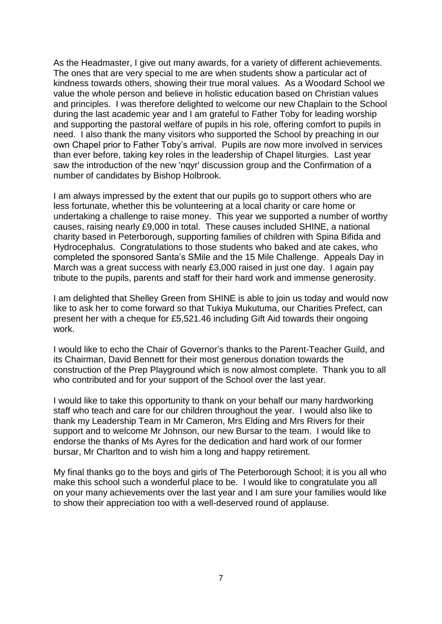As the Headmaster, I give out many awards, for a variety of different achievements. The ones that are very special to me are when students show a particular act of kindness towards others, showing their true moral values. As a Woodard School we value the whole person and believe in holistic education based on Christian values and principles. I was therefore delighted to welcome our new Chaplain to the School during the last academic year and I am grateful to Father Toby for leading worship and supporting the pastoral welfare of pupils in his role, offering comfort to pupils in need. I also thank the many visitors who supported the School by preaching in our own Chapel prior to Father Toby's arrival. Pupils are now more involved in services than ever before, taking key roles in the leadership of Chapel liturgies. Last year saw the introduction of the new 'nqyr' discussion group and the Confirmation of a number of candidates by Bishop Holbrook.

I am always impressed by the extent that our pupils go to support others who are less fortunate, whether this be volunteering at a local charity or care home or undertaking a challenge to raise money. This year we supported a number of worthy causes, raising nearly £9,000 in total. These causes included SHINE, a national charity based in Peterborough, supporting families of children with Spina Bifida and Hydrocephalus. Congratulations to those students who baked and ate cakes, who completed the sponsored Santa's SMile and the 15 Mile Challenge. Appeals Day in March was a great success with nearly £3,000 raised in just one day. I again pay tribute to the pupils, parents and staff for their hard work and immense generosity.

I am delighted that Shelley Green from SHINE is able to join us today and would now like to ask her to come forward so that Tukiya Mukutuma, our Charities Prefect, can present her with a cheque for £5,521.46 including Gift Aid towards their ongoing work.

I would like to echo the Chair of Governor's thanks to the Parent-Teacher Guild, and its Chairman, David Bennett for their most generous donation towards the construction of the Prep Playground which is now almost complete. Thank you to all who contributed and for your support of the School over the last year.

I would like to take this opportunity to thank on your behalf our many hardworking staff who teach and care for our children throughout the year. I would also like to thank my Leadership Team in Mr Cameron, Mrs Elding and Mrs Rivers for their support and to welcome Mr Johnson, our new Bursar to the team. I would like to endorse the thanks of Ms Ayres for the dedication and hard work of our former bursar, Mr Charlton and to wish him a long and happy retirement.

My final thanks go to the boys and girls of The Peterborough School; it is you all who make this school such a wonderful place to be. I would like to congratulate you all on your many achievements over the last year and I am sure your families would like to show their appreciation too with a well-deserved round of applause.